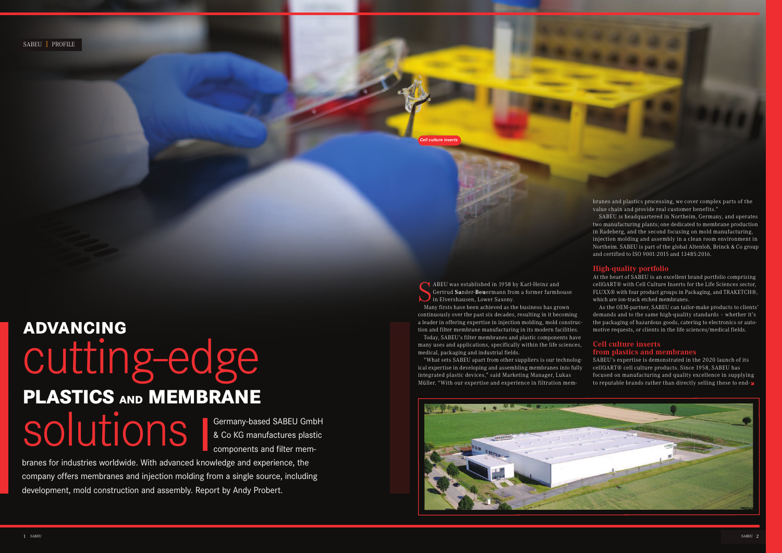SABEU I PROFILE

S<sub>Mal</sub> ABEU was established in 1958 by Karl-Heinz and Gertrud **Sa**nder-**Beu**ermann from a former farmhouse in Elvershausen, Lower Saxony.

Many firsts have been achieved as the business has grown continuously over the past six decades, resulting in it becoming a leader in offering expertise in injection molding, mold construction and filter membrane manufacturing in its modern facilities.

Today, SABEU's filter membranes and plastic components have many uses and applications, specifically within the life sciences, medical, packaging and industrial fields.

"What sets SABEU apart from other suppliers is our technological expertise in developing and assembling membranes into fully integrated plastic devices," said Marketing Manager, Lukas Müller. "With our expertise and experience in filtration mem-



branes and plastics processing, we cover complex parts of the value chain and provide real customer benefits."

SABEU's expertise is demonstrated in the 2020 launch of its cellQART® cell culture products. Since 1958, SABEU has focused on manufacturing and quality excellence in supplying to reputable brands rather than directly selling these to end- $\square$ 

SABEU is headquartered in Northeim, Germany, and operates two manufacturing plants; one dedicated to membrane production in Radeberg, and the second focusing on mold manufacturing, injection molding and assembly in a clean room environment in Northeim. SABEU is part of the global Altenloh, Brinck & Co group and certified to ISO 9001:2015 and 13485:2016.

# SOUUTIONS Sermany-based SABEU Gmb<br>
& Co KG manufactures plast<br>
components and filter mem-**ADVANCING**  cutting-edge **PLASTICS AND MEMBRANE**

### **High-quality portfolio**

At the heart of SABEU is an excellent brand portfolio comprising cellQART® with Cell Culture Inserts for the Life Sciences sector, FLUXX® with four product groups in Packaging, and TRAKETCH®, which are ion-track etched membranes.

As the OEM-partner, SABEU can tailor-make products to clients' demands and to the same high-quality standards – whether it's the packaging of hazardous goods, catering to electronics or automotive requests, or clients in the life sciences/medical fields.

### **Cell culture inserts from plastics and membranes**

Germany-based SABEU GmbH & Co KG manufactures plastic

branes for industries worldwide. With advanced knowledge and experience, the company offers membranes and injection molding from a single source, including development, mold construction and assembly. Report by Andy Probert.

*Cell culture inserts*